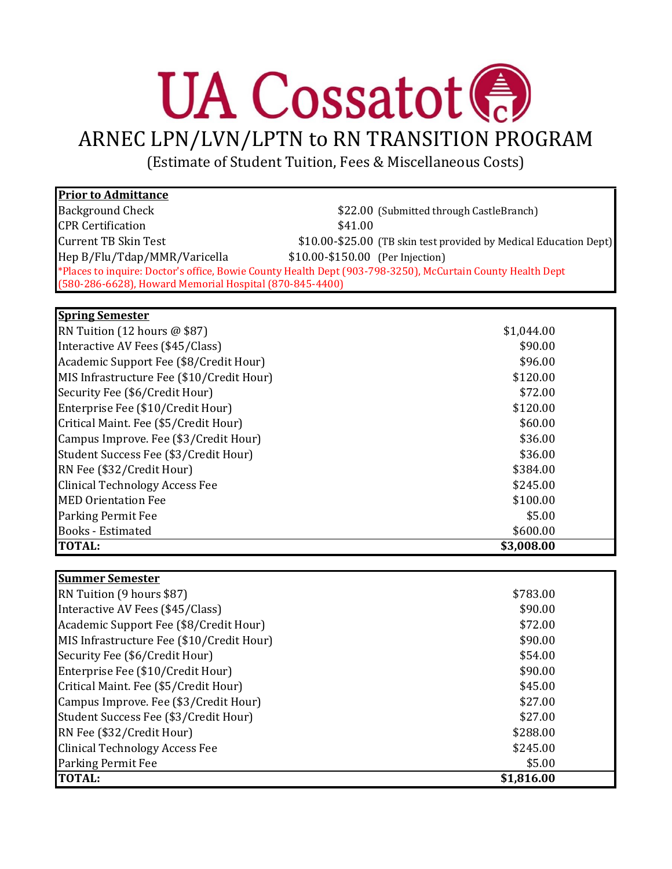## **UA Cossatot**

ARNEC LPN/LVN/LPTN to RN TRANSITION PROGRAM

(Estimate of Student Tuition, Fees & Miscellaneous Costs)

| <b>Prior to Admittance</b>                                                                                 |                                  |                                                                   |
|------------------------------------------------------------------------------------------------------------|----------------------------------|-------------------------------------------------------------------|
| <b>Background Check</b>                                                                                    |                                  | \$22.00 (Submitted through CastleBranch)                          |
| <b>CPR</b> Certification                                                                                   | \$41.00                          |                                                                   |
| <b>Current TB Skin Test</b>                                                                                |                                  | \$10.00-\$25.00 (TB skin test provided by Medical Education Dept) |
| Hep B/Flu/Tdap/MMR/Varicella                                                                               | \$10.00-\$150.00 (Per Injection) |                                                                   |
| *Places to inquire: Doctor's office, Bowie County Health Dept (903-798-3250), McCurtain County Health Dept |                                  |                                                                   |
| (580-286-6628), Howard Memorial Hospital (870-845-4400)                                                    |                                  |                                                                   |

## **Spring Semester**

| <b>TOTAL:</b>                             | \$3,008.00 |  |
|-------------------------------------------|------------|--|
| <b>Books</b> - Estimated                  | \$600.00   |  |
| <b>Parking Permit Fee</b>                 | \$5.00     |  |
| <b>MED Orientation Fee</b>                | \$100.00   |  |
| <b>Clinical Technology Access Fee</b>     | \$245.00   |  |
| RN Fee (\$32/Credit Hour)                 | \$384.00   |  |
| Student Success Fee (\$3/Credit Hour)     | \$36.00    |  |
| Campus Improve. Fee (\$3/Credit Hour)     | \$36.00    |  |
| Critical Maint. Fee (\$5/Credit Hour)     | \$60.00    |  |
| Enterprise Fee (\$10/Credit Hour)         | \$120.00   |  |
| Security Fee (\$6/Credit Hour)            | \$72.00    |  |
| MIS Infrastructure Fee (\$10/Credit Hour) | \$120.00   |  |
| Academic Support Fee (\$8/Credit Hour)    | \$96.00    |  |
| Interactive AV Fees (\$45/Class)          | \$90.00    |  |
| RN Tuition (12 hours $@$ \$87)            | \$1,044.00 |  |

| <b>Summer Semester</b>                    |            |  |
|-------------------------------------------|------------|--|
| RN Tuition (9 hours \$87)                 | \$783.00   |  |
| Interactive AV Fees (\$45/Class)          | \$90.00    |  |
| Academic Support Fee (\$8/Credit Hour)    | \$72.00    |  |
| MIS Infrastructure Fee (\$10/Credit Hour) | \$90.00    |  |
| Security Fee (\$6/Credit Hour)            | \$54.00    |  |
| Enterprise Fee (\$10/Credit Hour)         | \$90.00    |  |
| Critical Maint. Fee (\$5/Credit Hour)     | \$45.00    |  |
| Campus Improve. Fee (\$3/Credit Hour)     | \$27.00    |  |
| Student Success Fee (\$3/Credit Hour)     | \$27.00    |  |
| RN Fee (\$32/Credit Hour)                 | \$288.00   |  |
| <b>Clinical Technology Access Fee</b>     | \$245.00   |  |
| <b>Parking Permit Fee</b>                 | \$5.00     |  |
| <b>TOTAL:</b>                             | \$1,816.00 |  |